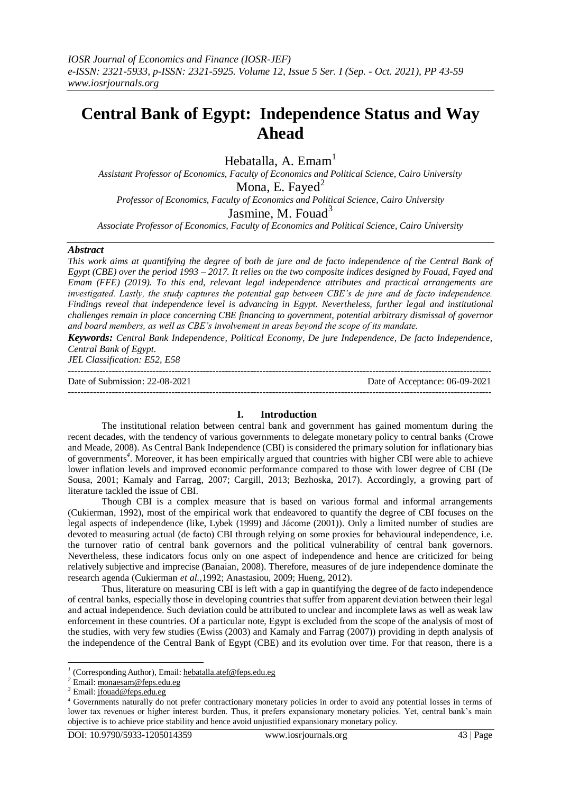# **Central Bank of Egypt: Independence Status and Way Ahead**

Hebatalla, A. Emam<sup>1</sup>

*Assistant Professor of Economics, Faculty of Economics and Political Science, Cairo University* Mona, E. Fayed<sup>2</sup>

*Professor of Economics, Faculty of Economics and Political Science, Cairo University*

Jasmine, M. Fouad $3$ 

*Associate Professor of Economics, Faculty of Economics and Political Science, Cairo University*

#### *Abstract*

*This work aims at quantifying the degree of both de jure and de facto independence of the Central Bank of Egypt (CBE) over the period 1993 – 2017. It relies on the two composite indices designed by Fouad, Fayed and Emam (FFE) (2019). To this end, relevant legal independence attributes and practical arrangements are investigated. Lastly, the study captures the potential gap between CBE's de jure and de facto independence. Findings reveal that independence level is advancing in Egypt. Nevertheless, further legal and institutional challenges remain in place concerning CBE financing to government, potential arbitrary dismissal of governor and board members, as well as CBE's involvement in areas beyond the scope of its mandate.*

*Keywords: Central Bank Independence, Political Economy, De jure Independence, De facto Independence, Central Bank of Egypt.*

*JEL Classification: E52, E58* ---------------------------------------------------------------------------------------------------------------------------------------

Date of Submission: 22-08-2021 Date of Acceptance: 06-09-2021

---------------------------------------------------------------------------------------------------------------------------------------

#### **I. Introduction**

The institutional relation between central bank and government has gained momentum during the recent decades, with the tendency of various governments to delegate monetary policy to central banks (Crowe and Meade, 2008). As Central Bank Independence (CBI) is considered the primary solution for inflationary bias of governments*<sup>4</sup>* . Moreover, it has been empirically argued that countries with higher CBI were able to achieve lower inflation levels and improved economic performance compared to those with lower degree of CBI (De Sousa, 2001; Kamaly and Farrag, 2007; Cargill, 2013; Bezhoska, 2017). Accordingly, a growing part of literature tackled the issue of CBI.

Though CBI is a complex measure that is based on various formal and informal arrangements (Cukierman, 1992), most of the empirical work that endeavored to quantify the degree of CBI focuses on the legal aspects of independence (like, Lybek (1999) and Jácome (2001)). Only a limited number of studies are devoted to measuring actual (de facto) CBI through relying on some proxies for behavioural independence, i.e. the turnover ratio of central bank governors and the political vulnerability of central bank governors. Nevertheless, these indicators focus only on one aspect of independence and hence are criticized for being relatively subjective and imprecise (Banaian, 2008). Therefore, measures of de jure independence dominate the research agenda (Cukierman *et al.,*1992; Anastasiou, 2009; Hueng, 2012).

Thus, literature on measuring CBI is left with a gap in quantifying the degree of de facto independence of central banks, especially those in developing countries that suffer from apparent deviation between their legal and actual independence. Such deviation could be attributed to unclear and incomplete laws as well as weak law enforcement in these countries. Of a particular note, Egypt is excluded from the scope of the analysis of most of the studies, with very few studies (Ewiss (2003) and Kamaly and Farrag (2007)) providing in depth analysis of the independence of the Central Bank of Egypt (CBE) and its evolution over time. For that reason, there is a

 *1* (CorrespondingAuthor), Email[: hebatalla.atef@feps.edu.eg](mailto:hebatalla.atef@feps.edu.eg)

*<sup>2</sup>* Email[: monaesam@feps.edu.eg](mailto:monaesam@feps.edu.eg)

*<sup>3</sup>* Email[: jfouad@feps.edu.eg](mailto:jfouad@feps.edu.eg)

<sup>4</sup> Governments naturally do not prefer contractionary monetary policies in order to avoid any potential losses in terms of lower tax revenues or higher interest burden. Thus, it prefers expansionary monetary policies. Yet, central bank's main objective is to achieve price stability and hence avoid unjustified expansionary monetary policy.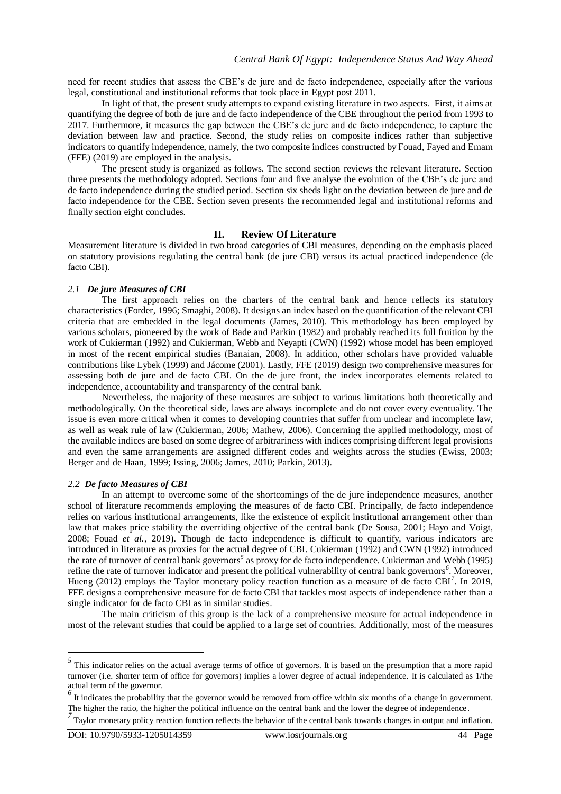need for recent studies that assess the CBE's de jure and de facto independence, especially after the various legal, constitutional and institutional reforms that took place in Egypt post 2011.

In light of that, the present study attempts to expand existing literature in two aspects. First, it aims at quantifying the degree of both de jure and de facto independence of the CBE throughout the period from 1993 to 2017. Furthermore, it measures the gap between the CBE's de jure and de facto independence, to capture the deviation between law and practice. Second, the study relies on composite indices rather than subjective indicators to quantify independence, namely, the two composite indices constructed by Fouad, Fayed and Emam (FFE) (2019) are employed in the analysis.

The present study is organized as follows. The second section reviews the relevant literature. Section three presents the methodology adopted. Sections four and five analyse the evolution of the CBE's de jure and de facto independence during the studied period. Section six sheds light on the deviation between de jure and de facto independence for the CBE. Section seven presents the recommended legal and institutional reforms and finally section eight concludes.

#### **II. Review Of Literature**

Measurement literature is divided in two broad categories of CBI measures, depending on the emphasis placed on statutory provisions regulating the central bank (de jure CBI) versus its actual practiced independence (de facto CBI).

#### *2.1 De jure Measures of CBI*

The first approach relies on the charters of the central bank and hence reflects its statutory characteristics (Forder, 1996; Smaghi, 2008). It designs an index based on the quantification of the relevant CBI criteria that are embedded in the legal documents (James, 2010). This methodology has been employed by various scholars, pioneered by the work of Bade and Parkin (1982) and probably reached its full fruition by the work of Cukierman (1992) and Cukierman, Webb and Neyapti (CWN) (1992) whose model has been employed in most of the recent empirical studies (Banaian, 2008). In addition, other scholars have provided valuable contributions like Lybek (1999) and Jácome (2001). Lastly, FFE (2019) design two comprehensive measures for assessing both de jure and de facto CBI. On the de jure front, the index incorporates elements related to independence, accountability and transparency of the central bank.

Nevertheless, the majority of these measures are subject to various limitations both theoretically and methodologically. On the theoretical side, laws are always incomplete and do not cover every eventuality. The issue is even more critical when it comes to developing countries that suffer from unclear and incomplete law, as well as weak rule of law (Cukierman, 2006; Mathew, 2006). Concerning the applied methodology, most of the available indices are based on some degree of arbitrariness with indices comprising different legal provisions and even the same arrangements are assigned different codes and weights across the studies (Ewiss, 2003; Berger and de Haan, 1999; Issing, 2006; James, 2010; Parkin, 2013).

#### *2.2 De facto Measures of CBI*

In an attempt to overcome some of the shortcomings of the de jure independence measures, another school of literature recommends employing the measures of de facto CBI. Principally, de facto independence relies on various institutional arrangements, like the existence of explicit institutional arrangement other than law that makes price stability the overriding objective of the central bank (De Sousa, 2001; Hayo and Voigt, 2008; Fouad *et al.,* 2019). Though de facto independence is difficult to quantify, various indicators are introduced in literature as proxies for the actual degree of CBI. Cukierman (1992) and CWN (1992) introduced the rate of turnover of central bank governors*<sup>5</sup>* as proxy for de facto independence. Cukierman and Webb (1995) refine the rate of turnover indicator and present the political vulnerability of central bank governors<sup>6</sup>. Moreover, Hueng (2012) employs the Taylor monetary policy reaction function as a measure of de facto CBI<sup>7</sup>. In 2019, FFE designs a comprehensive measure for de facto CBI that tackles most aspects of independence rather than a single indicator for de facto CBI as in similar studies.

The main criticism of this group is the lack of a comprehensive measure for actual independence in most of the relevant studies that could be applied to a large set of countries. Additionally, most of the measures

<sup>&</sup>lt;sup>5</sup> This indicator relies on the actual average terms of office of governors. It is based on the presumption that a more rapid turnover (i.e. shorter term of office for governors) implies a lower degree of actual independence. It is calculated as 1/the actual term of the governor.

 $\frac{6}{ }$  It indicates the probability that the governor would be removed from office within six months of a change in government. The higher the ratio, the higher the political influence on the central bank and the lower the degree of independence .

*<sup>7</sup>* Taylor monetary policy reaction function reflects the behavior of the central bank towards changes in output and inflation.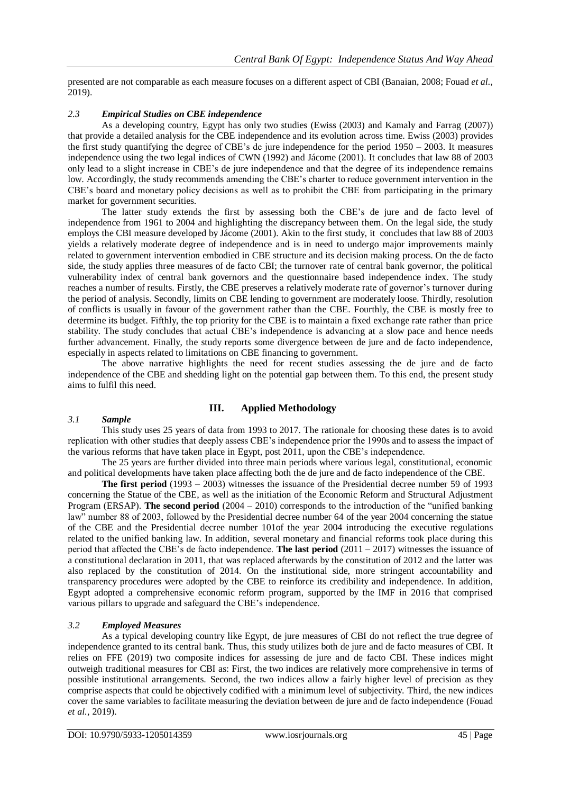presented are not comparable as each measure focuses on a different aspect of CBI (Banaian, 2008; Fouad *et al.,* 2019).

#### *2.3 Empirical Studies on CBE independence*

As a developing country, Egypt has only two studies (Ewiss (2003) and Kamaly and Farrag (2007)) that provide a detailed analysis for the CBE independence and its evolution across time. Ewiss (2003) provides the first study quantifying the degree of CBE's de jure independence for the period 1950 – 2003. It measures independence using the two legal indices of CWN (1992) and Jácome (2001). It concludes that law 88 of 2003 only lead to a slight increase in CBE's de jure independence and that the degree of its independence remains low. Accordingly, the study recommends amending the CBE's charter to reduce government intervention in the CBE's board and monetary policy decisions as well as to prohibit the CBE from participating in the primary market for government securities.

The latter study extends the first by assessing both the CBE's de jure and de facto level of independence from 1961 to 2004 and highlighting the discrepancy between them. On the legal side, the study employs the CBI measure developed by Jácome (2001). Akin to the first study, it concludes that law 88 of 2003 yields a relatively moderate degree of independence and is in need to undergo major improvements mainly related to government intervention embodied in CBE structure and its decision making process. On the de facto side, the study applies three measures of de facto CBI; the turnover rate of central bank governor, the political vulnerability index of central bank governors and the questionnaire based independence index. The study reaches a number of results. Firstly, the CBE preserves a relatively moderate rate of governor's turnover during the period of analysis. Secondly, limits on CBE lending to government are moderately loose. Thirdly, resolution of conflicts is usually in favour of the government rather than the CBE. Fourthly, the CBE is mostly free to determine its budget. Fifthly, the top priority for the CBE is to maintain a fixed exchange rate rather than price stability. The study concludes that actual CBE's independence is advancing at a slow pace and hence needs further advancement. Finally, the study reports some divergence between de jure and de facto independence, especially in aspects related to limitations on CBE financing to government.

The above narrative highlights the need for recent studies assessing the de jure and de facto independence of the CBE and shedding light on the potential gap between them. To this end, the present study aims to fulfil this need.

#### **III. Applied Methodology**

#### *3.1 Sample*

This study uses 25 years of data from 1993 to 2017. The rationale for choosing these dates is to avoid replication with other studies that deeply assess CBE's independence prior the 1990s and to assess the impact of the various reforms that have taken place in Egypt, post 2011, upon the CBE's independence.

The 25 years are further divided into three main periods where various legal, constitutional, economic and political developments have taken place affecting both the de jure and de facto independence of the CBE.

**The first period** (1993 – 2003) witnesses the issuance of the Presidential decree number 59 of 1993 concerning the Statue of the CBE, as well as the initiation of the Economic Reform and Structural Adjustment Program (ERSAP). **The second period** (2004 – 2010) corresponds to the introduction of the "unified banking law" number 88 of 2003, followed by the Presidential decree number 64 of the year 2004 concerning the statue of the CBE and the Presidential decree number 101of the year 2004 introducing the executive regulations related to the unified banking law. In addition, several monetary and financial reforms took place during this period that affected the CBE's de facto independence. **The last period** (2011 – 2017) witnesses the issuance of a constitutional declaration in 2011, that was replaced afterwards by the constitution of 2012 and the latter was also replaced by the constitution of 2014. On the institutional side, more stringent accountability and transparency procedures were adopted by the CBE to reinforce its credibility and independence. In addition, Egypt adopted a comprehensive economic reform program, supported by the IMF in 2016 that comprised various pillars to upgrade and safeguard the CBE's independence.

#### *3.2 Employed Measures*

As a typical developing country like Egypt, de jure measures of CBI do not reflect the true degree of independence granted to its central bank. Thus, this study utilizes both de jure and de facto measures of CBI. It relies on FFE (2019) two composite indices for assessing de jure and de facto CBI. These indices might outweigh traditional measures for CBI as: First, the two indices are relatively more comprehensive in terms of possible institutional arrangements. Second, the two indices allow a fairly higher level of precision as they comprise aspects that could be objectively codified with a minimum level of subjectivity. Third, the new indices cover the same variables to facilitate measuring the deviation between de jure and de facto independence (Fouad *et al.,* 2019).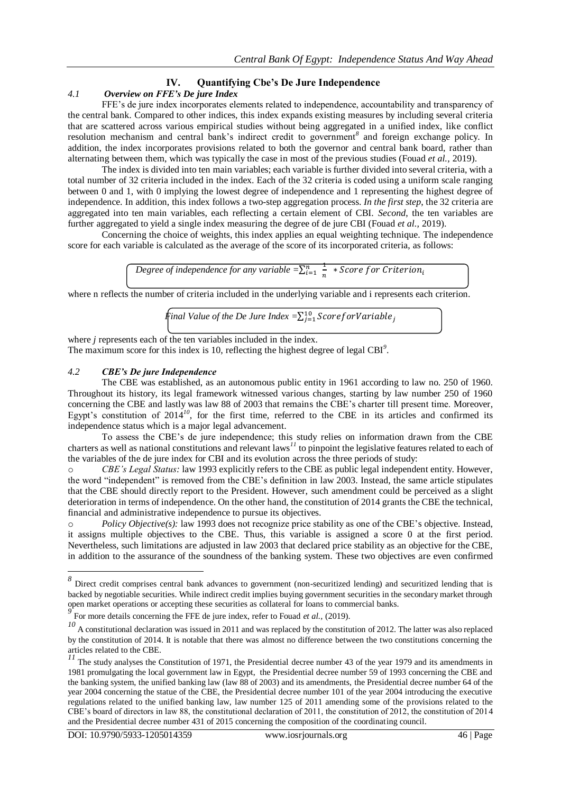### **IV. Quantifying Cbe's De Jure Independence**

#### *4.1 Overview on FFE's De jure Index*

FFE's de jure index incorporates elements related to independence, accountability and transparency of the central bank. Compared to other indices, this index expands existing measures by including several criteria that are scattered across various empirical studies without being aggregated in a unified index, like conflict resolution mechanism and central bank's indirect credit to government*<sup>8</sup>* and foreign exchange policy. In addition, the index incorporates provisions related to both the governor and central bank board, rather than alternating between them, which was typically the case in most of the previous studies (Fouad *et al.,* 2019).

The index is divided into ten main variables; each variable is further divided into several criteria, with a total number of 32 criteria included in the index. Each of the 32 criteria is coded using a uniform scale ranging between 0 and 1, with 0 implying the lowest degree of independence and 1 representing the highest degree of independence. In addition, this index follows a two-step aggregation process. *In the first step*, the 32 criteria are aggregated into ten main variables, each reflecting a certain element of CBI. *Second*, the ten variables are further aggregated to yield a single index measuring the degree of de jure CBI (Fouad *et al.,* 2019).

Concerning the choice of weights, this index applies an equal weighting technique. The independence score for each variable is calculated as the average of the score of its incorporated criteria, as follows:

> *Degree of independence for any variable*  $=\sum_{i=1}^{n} \frac{1}{n}$  $\frac{n}{i=1}$   $\frac{1}{n}$  \*

where n reflects the number of criteria included in the underlying variable and i represents each criterion.

*Final Value of the De Jure Index =*

where *i* represents each of the ten variables included in the index. The maximum score for this index is 10, reflecting the highest degree of legal CBI*<sup>9</sup>* .

#### *4.2 CBE's De jure Independence*

The CBE was established, as an autonomous public entity in 1961 according to law no. 250 of 1960. Throughout its history, its legal framework witnessed various changes, starting by law number 250 of 1960 concerning the CBE and lastly was law 88 of 2003 that remains the CBE's charter till present time. Moreover, Egypt's constitution of 2014<sup>10</sup>, for the first time, referred to the CBE in its articles and confirmed its independence status which is a major legal advancement.

To assess the CBE's de jure independence; this study relies on information drawn from the CBE charters as well as national constitutions and relevant laws*<sup>11</sup>* to pinpoint the legislative features related to each of the variables of the de jure index for CBI and its evolution across the three periods of study:

o *CBE's Legal Status:* law 1993 explicitly refers to the CBE as public legal independent entity. However, the word "independent" is removed from the CBE's definition in law 2003. Instead, the same article stipulates that the CBE should directly report to the President. However, such amendment could be perceived as a slight deterioration in terms of independence. On the other hand, the constitution of 2014 grants the CBE the technical, financial and administrative independence to pursue its objectives.

*Policy Objective(s):* law 1993 does not recognize price stability as one of the CBE's objective. Instead, it assigns multiple objectives to the CBE. Thus, this variable is assigned a score 0 at the first period. Nevertheless, such limitations are adjusted in law 2003 that declared price stability as an objective for the CBE, in addition to the assurance of the soundness of the banking system. These two objectives are even confirmed

<sup>&</sup>lt;sup>8</sup><br><sup>8</sup> Direct credit comprises central bank advances to government (non-securitized lending) and securitized lending that is backed by negotiable securities. While indirect credit implies buying government securities in the secondary market through open market operations or accepting these securities as collateral for loans to commercial banks.<br><sup>9</sup> Expressed to the conception the EEE design and the second to the collate of (2010).

For more details concerning the FFE de jure index, refer to Fouad *et al.,* (2019).

<sup>&</sup>lt;sup>10</sup> A constitutional declaration was issued in 2011 and was replaced by the constitution of 2012. The latter was also replaced by the constitution of 2014. It is notable that there was almost no difference between the two constitutions concerning the articles related to the CBE.

<sup>&</sup>lt;sup>11</sup> The study analyses the Constitution of 1971, the Presidential decree number 43 of the year 1979 and its amendments in 1981 promulgating the local government law in Egypt, the Presidential decree number 59 of 1993 concerning the CBE and the banking system, the unified banking law (law 88 of 2003) and its amendments, the Presidential decree number 64 of the year 2004 concerning the statue of the CBE, the Presidential decree number 101 of the year 2004 introducing the executive regulations related to the unified banking law, law number 125 of 2011 amending some of the provisions related to the CBE's board of directors in law 88, the constitutional declaration of 2011, the constitution of 2012, the constitution of 2014 and the Presidential decree number 431 of 2015 concerning the composition of the coordinating council.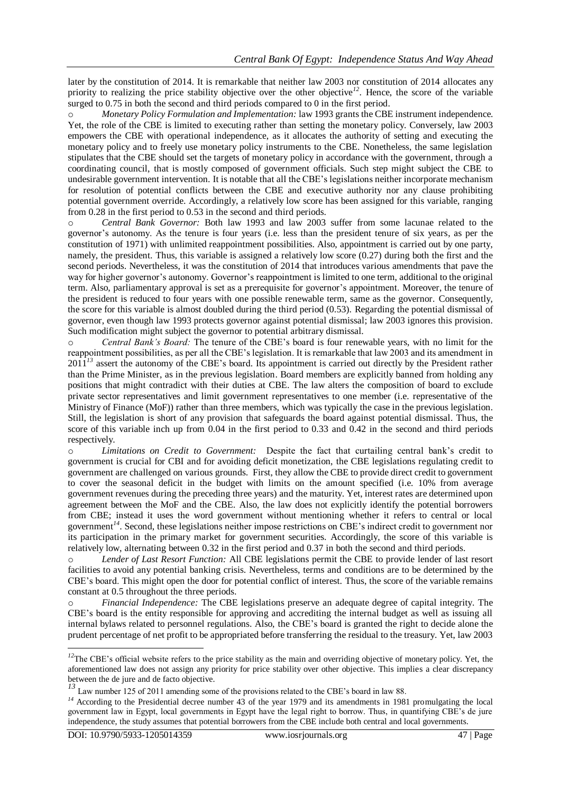later by the constitution of 2014. It is remarkable that neither law 2003 nor constitution of 2014 allocates any priority to realizing the price stability objective over the other objective<sup>12</sup>. Hence, the score of the variable surged to 0.75 in both the second and third periods compared to 0 in the first period.

*Monetary Policy Formulation and Implementation:* law 1993 grants the CBE instrument independence. Yet, the role of the CBE is limited to executing rather than setting the monetary policy. Conversely, law 2003 empowers the CBE with operational independence, as it allocates the authority of setting and executing the monetary policy and to freely use monetary policy instruments to the CBE. Nonetheless, the same legislation stipulates that the CBE should set the targets of monetary policy in accordance with the government, through a coordinating council, that is mostly composed of government officials. Such step might subject the CBE to undesirable government intervention. It is notable that all the CBE's legislations neither incorporate mechanism for resolution of potential conflicts between the CBE and executive authority nor any clause prohibiting potential government override. Accordingly, a relatively low score has been assigned for this variable, ranging from 0.28 in the first period to 0.53 in the second and third periods.

o *Central Bank Governor:* Both law 1993 and law 2003 suffer from some lacunae related to the governor's autonomy. As the tenure is four years (i.e. less than the president tenure of six years, as per the constitution of 1971) with unlimited reappointment possibilities. Also, appointment is carried out by one party, namely, the president. Thus, this variable is assigned a relatively low score (0.27) during both the first and the second periods. Nevertheless, it was the constitution of 2014 that introduces various amendments that pave the way for higher governor's autonomy. Governor's reappointment is limited to one term, additional to the original term. Also, parliamentary approval is set as a prerequisite for governor's appointment. Moreover, the tenure of the president is reduced to four years with one possible renewable term, same as the governor. Consequently, the score for this variable is almost doubled during the third period (0.53). Regarding the potential dismissal of governor, even though law 1993 protects governor against potential dismissal; law 2003 ignores this provision. Such modification might subject the governor to potential arbitrary dismissal.

o *Central Bank's Board:* The tenure of the CBE's board is four renewable years, with no limit for the reappointment possibilities, as per all the CBE's legislation. It is remarkable that law 2003 and its amendment in 2011<sup>13</sup> assert the autonomy of the CBE's board. Its appointment is carried out directly by the President rather than the Prime Minister, as in the previous legislation. Board members are explicitly banned from holding any positions that might contradict with their duties at CBE. The law alters the composition of board to exclude private sector representatives and limit government representatives to one member (i.e. representative of the Ministry of Finance (MoF)) rather than three members, which was typically the case in the previous legislation. Still, the legislation is short of any provision that safeguards the board against potential dismissal. Thus, the score of this variable inch up from 0.04 in the first period to 0.33 and 0.42 in the second and third periods respectively.

o *Limitations on Credit to Government:* Despite the fact that curtailing central bank's credit to government is crucial for CBI and for avoiding deficit monetization, the CBE legislations regulating credit to government are challenged on various grounds. First, they allow the CBE to provide direct credit to government to cover the seasonal deficit in the budget with limits on the amount specified (i.e. 10% from average government revenues during the preceding three years) and the maturity. Yet, interest rates are determined upon agreement between the MoF and the CBE. Also, the law does not explicitly identify the potential borrowers from CBE; instead it uses the word government without mentioning whether it refers to central or local government*<sup>14</sup>* . Second, these legislations neither impose restrictions on CBE's indirect credit to government nor its participation in the primary market for government securities. Accordingly, the score of this variable is relatively low, alternating between 0.32 in the first period and 0.37 in both the second and third periods.

Lender of Last Resort Function: All CBE legislations permit the CBE to provide lender of last resort facilities to avoid any potential banking crisis. Nevertheless, terms and conditions are to be determined by the CBE's board. This might open the door for potential conflict of interest. Thus, the score of the variable remains constant at 0.5 throughout the three periods.

o *Financial Independence:* The CBE legislations preserve an adequate degree of capital integrity. The CBE's board is the entity responsible for approving and accrediting the internal budget as well as issuing all internal bylaws related to personnel regulations. Also, the CBE's board is granted the right to decide alone the prudent percentage of net profit to be appropriated before transferring the residual to the treasury. Yet, law 2003

**.** 

<sup>&</sup>lt;sup>12</sup>The CBE's official website refers to the price stability as the main and overriding objective of monetary policy. Yet, the aforementioned law does not assign any priority for price stability over other objective. This implies a clear discrepancy between the de jure and de facto objective.

Law number 125 of 2011 amending some of the provisions related to the CBE's board in law 88.

<sup>&</sup>lt;sup>14</sup> According to the Presidential decree number 43 of the year 1979 and its amendments in 1981 promulgating the local government law in Egypt, local governments in Egypt have the legal right to borrow. Thus, in quantifying CBE's de jure independence, the study assumes that potential borrowers from the CBE include both central and local governments.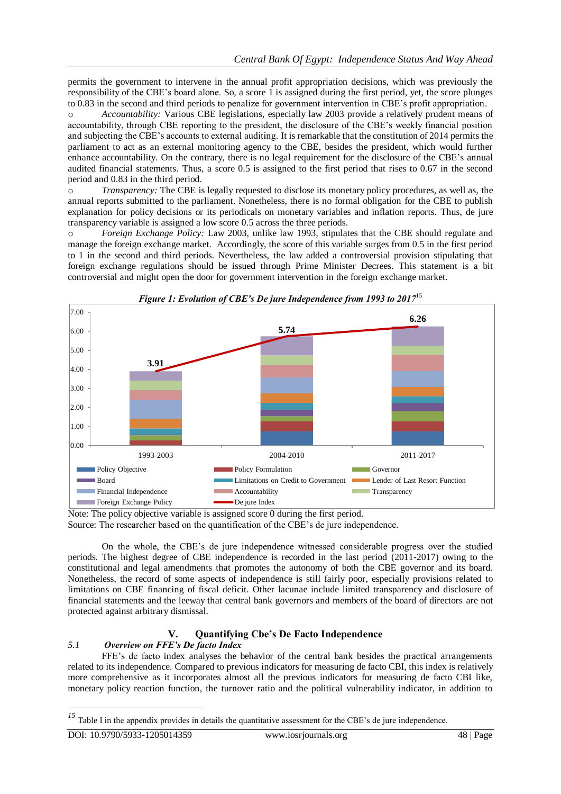permits the government to intervene in the annual profit appropriation decisions, which was previously the responsibility of the CBE's board alone. So, a score 1 is assigned during the first period, yet, the score plunges to 0.83 in the second and third periods to penalize for government intervention in CBE's profit appropriation.

o *Accountability:* Various CBE legislations, especially law 2003 provide a relatively prudent means of accountability, through CBE reporting to the president, the disclosure of the CBE's weekly financial position and subjecting the CBE's accounts to external auditing. It is remarkable that the constitution of 2014 permits the parliament to act as an external monitoring agency to the CBE, besides the president, which would further enhance accountability. On the contrary, there is no legal requirement for the disclosure of the CBE's annual audited financial statements. Thus, a score 0.5 is assigned to the first period that rises to 0.67 in the second period and 0.83 in the third period.

o *Transparency:* The CBE is legally requested to disclose its monetary policy procedures, as well as, the annual reports submitted to the parliament. Nonetheless, there is no formal obligation for the CBE to publish explanation for policy decisions or its periodicals on monetary variables and inflation reports. Thus, de jure transparency variable is assigned a low score 0.5 across the three periods.

o *Foreign Exchange Policy:* Law 2003, unlike law 1993, stipulates that the CBE should regulate and manage the foreign exchange market. Accordingly, the score of this variable surges from 0.5 in the first period to 1 in the second and third periods. Nevertheless, the law added a controversial provision stipulating that foreign exchange regulations should be issued through Prime Minister Decrees. This statement is a bit controversial and might open the door for government intervention in the foreign exchange market.



*Figure 1: Evolution of CBE's De jure Independence from 1993 to 2017*<sup>15</sup>

Note: The policy objective variable is assigned score 0 during the first period.

Source: The researcher based on the quantification of the CBE's de jure independence.

On the whole, the CBE's de jure independence witnessed considerable progress over the studied periods. The highest degree of CBE independence is recorded in the last period (2011-2017) owing to the constitutional and legal amendments that promotes the autonomy of both the CBE governor and its board. Nonetheless, the record of some aspects of independence is still fairly poor, especially provisions related to limitations on CBE financing of fiscal deficit. Other lacunae include limited transparency and disclosure of financial statements and the leeway that central bank governors and members of the board of directors are not protected against arbitrary dismissal.

## **V. Quantifying Cbe's De Facto Independence**

## *5.1 Overview on FFE's De facto Index*

FFE's de facto index analyses the behavior of the central bank besides the practical arrangements related to its independence. Compared to previous indicators for measuring de facto CBI, this index is relatively more comprehensive as it incorporates almost all the previous indicators for measuring de facto CBI like, monetary policy reaction function, the turnover ratio and the political vulnerability indicator, in addition to

<sup>&</sup>lt;sup>15</sup> Table I in the appendix provides in details the quantitative assessment for the CBE's de jure independence.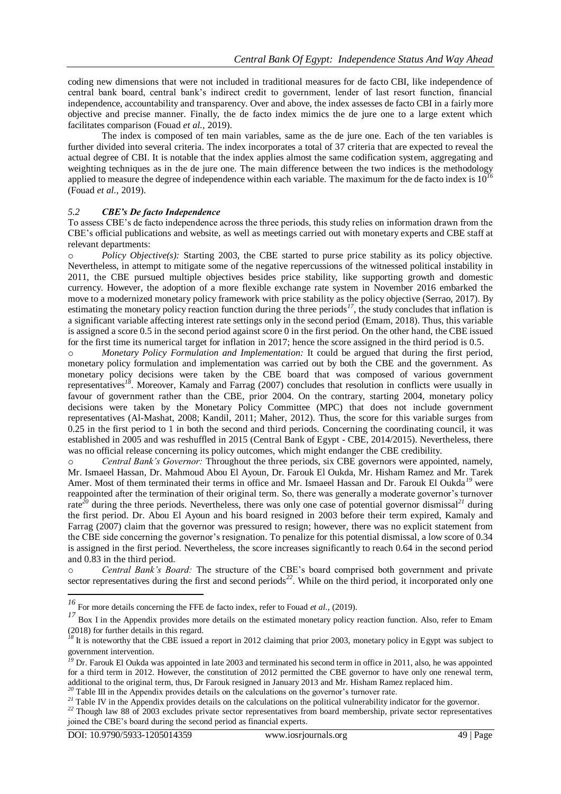coding new dimensions that were not included in traditional measures for de facto CBI, like independence of central bank board, central bank's indirect credit to government, lender of last resort function, financial independence, accountability and transparency. Over and above, the index assesses de facto CBI in a fairly more objective and precise manner. Finally, the de facto index mimics the de jure one to a large extent which facilitates comparison (Fouad *et al.,* 2019).

The index is composed of ten main variables, same as the de jure one. Each of the ten variables is further divided into several criteria. The index incorporates a total of 37 criteria that are expected to reveal the actual degree of CBI. It is notable that the index applies almost the same codification system, aggregating and weighting techniques as in the de jure one. The main difference between the two indices is the methodology applied to measure the degree of independence within each variable. The maximum for the de facto index is  $10<sup>7</sup>$ (Fouad *et al.,* 2019).

#### *5.2 CBE's De facto Independence*

To assess CBE's de facto independence across the three periods, this study relies on information drawn from the CBE's official publications and website, as well as meetings carried out with monetary experts and CBE staff at relevant departments:

o *Policy Objective(s):* Starting 2003, the CBE started to purse price stability as its policy objective. Nevertheless, in attempt to mitigate some of the negative repercussions of the witnessed political instability in 2011, the CBE pursued multiple objectives besides price stability, like supporting growth and domestic currency. However, the adoption of a more flexible exchange rate system in November 2016 embarked the move to a modernized monetary policy framework with price stability as the policy objective (Serrao, 2017). By estimating the monetary policy reaction function during the three periods<sup>17</sup>, the study concludes that inflation is a significant variable affecting interest rate settings only in the second period (Emam, 2018). Thus, this variable is assigned a score 0.5 in the second period against score 0 in the first period. On the other hand, the CBE issued for the first time its numerical target for inflation in 2017; hence the score assigned in the third period is 0.5.

o *Monetary Policy Formulation and Implementation:* It could be argued that during the first period, monetary policy formulation and implementation was carried out by both the CBE and the government. As monetary policy decisions were taken by the CBE board that was composed of various government representatives*<sup>18</sup>* . Moreover, Kamaly and Farrag (2007) concludes that resolution in conflicts were usually in favour of government rather than the CBE, prior 2004. On the contrary, starting 2004, monetary policy decisions were taken by the Monetary Policy Committee (MPC) that does not include government representatives (Al-Mashat, 2008; Kandil, 2011; Maher, 2012). Thus, the score for this variable surges from 0.25 in the first period to 1 in both the second and third periods. Concerning the coordinating council, it was established in 2005 and was reshuffled in 2015 (Central Bank of Egypt - CBE, 2014/2015). Nevertheless, there was no official release concerning its policy outcomes, which might endanger the CBE credibility.

o *Central Bank's Governor:* Throughout the three periods, six CBE governors were appointed, namely, Mr. Ismaeel Hassan, Dr. Mahmoud Abou El Ayoun, Dr. Farouk El Oukda, Mr. Hisham Ramez and Mr. Tarek Amer. Most of them terminated their terms in office and Mr. Ismaeel Hassan and Dr. Farouk El Oukda*<sup>19</sup>* were reappointed after the termination of their original term. So, there was generally a moderate governor's turnover rate*<sup>20</sup>* during the three periods. Nevertheless, there was only one case of potential governor dismissal*<sup>21</sup>* during the first period. Dr. Abou El Ayoun and his board resigned in 2003 before their term expired, Kamaly and Farrag (2007) claim that the governor was pressured to resign; however, there was no explicit statement from the CBE side concerning the governor's resignation. To penalize for this potential dismissal, a low score of 0.34 is assigned in the first period. Nevertheless, the score increases significantly to reach 0.64 in the second period and 0.83 in the third period.

o *Central Bank's Board:* The structure of the CBE's board comprised both government and private sector representatives during the first and second periods<sup>22</sup>. While on the third period, it incorporated only one

<sup>20</sup> Table III in the Appendix provides details on the calculations on the governor's turnover rate.

-

*<sup>16</sup>* For more details concerning the FFE de facto index, refer to Fouad *et al.,* (2019).

<sup>&</sup>lt;sup>17</sup> Box I in the Appendix provides more details on the estimated monetary policy reaction function. Also, refer to Emam (2018) for further details in this regard.

<sup>&</sup>lt;sup>18</sup> It is noteworthy that the CBE issued a report in 2012 claiming that prior 2003, monetary policy in Egypt was subject to government intervention.

<sup>&</sup>lt;sup>19</sup> Dr. Farouk El Oukda was appointed in late 2003 and terminated his second term in office in 2011, also, he was appointed for a third term in 2012. However, the constitution of 2012 permitted the CBE governor to have only one renewal term, additional to the original term, thus, Dr Farouk resigned in January 2013 and Mr. Hisham Ramez replaced him.

<sup>&</sup>lt;sup>21</sup> Table IV in the Appendix provides details on the calculations on the political vulnerability indicator for the governor. <sup>22</sup> Though law 88 of 2003 excludes private sector representatives from board membership, private sector representatives joined the CBE's board during the second period as financial experts.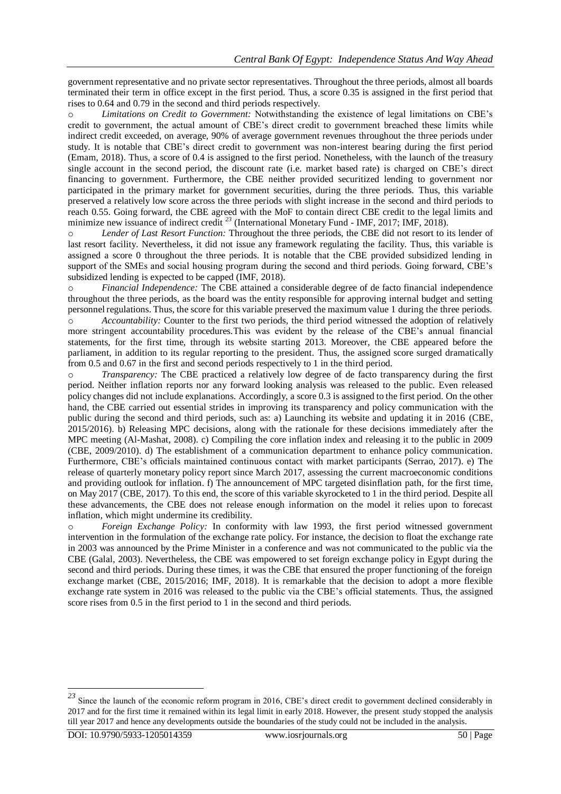government representative and no private sector representatives. Throughout the three periods, almost all boards terminated their term in office except in the first period. Thus, a score 0.35 is assigned in the first period that rises to 0.64 and 0.79 in the second and third periods respectively.

o *Limitations on Credit to Government:* Notwithstanding the existence of legal limitations on CBE's credit to government, the actual amount of CBE's direct credit to government breached these limits while indirect credit exceeded, on average, 90% of average government revenues throughout the three periods under study. It is notable that CBE's direct credit to government was non-interest bearing during the first period (Emam, 2018). Thus, a score of 0.4 is assigned to the first period. Nonetheless, with the launch of the treasury single account in the second period, the discount rate (i.e. market based rate) is charged on CBE's direct financing to government. Furthermore, the CBE neither provided securitized lending to government nor participated in the primary market for government securities, during the three periods. Thus, this variable preserved a relatively low score across the three periods with slight increase in the second and third periods to reach 0.55. Going forward, the CBE agreed with the MoF to contain direct CBE credit to the legal limits and minimize new issuance of indirect credit <sup>23</sup> (International Monetary Fund - IMF, 2017; IMF, 2018).

o *Lender of Last Resort Function:* Throughout the three periods, the CBE did not resort to its lender of last resort facility. Nevertheless, it did not issue any framework regulating the facility. Thus, this variable is assigned a score 0 throughout the three periods. It is notable that the CBE provided subsidized lending in support of the SMEs and social housing program during the second and third periods. Going forward, CBE's subsidized lending is expected to be capped (IMF, 2018).

o *Financial Independence:* The CBE attained a considerable degree of de facto financial independence throughout the three periods, as the board was the entity responsible for approving internal budget and setting personnel regulations. Thus, the score for this variable preserved the maximum value 1 during the three periods.

o *Accountability:* Counter to the first two periods, the third period witnessed the adoption of relatively more stringent accountability procedures.This was evident by the release of the CBE's annual financial statements, for the first time, through its website starting 2013. Moreover, the CBE appeared before the parliament, in addition to its regular reporting to the president. Thus, the assigned score surged dramatically from 0.5 and 0.67 in the first and second periods respectively to 1 in the third period.

o *Transparency:* The CBE practiced a relatively low degree of de facto transparency during the first period. Neither inflation reports nor any forward looking analysis was released to the public. Even released policy changes did not include explanations. Accordingly, a score 0.3 is assigned to the first period. On the other hand, the CBE carried out essential strides in improving its transparency and policy communication with the public during the second and third periods, such as: a) Launching its website and updating it in 2016 (CBE, 2015/2016). b) Releasing MPC decisions, along with the rationale for these decisions immediately after the MPC meeting (Al-Mashat, 2008). c) Compiling the core inflation index and releasing it to the public in 2009 (CBE, 2009/2010). d) The establishment of a communication department to enhance policy communication. Furthermore, CBE's officials maintained continuous contact with market participants (Serrao, 2017). e) The release of quarterly monetary policy report since March 2017, assessing the current macroeconomic conditions and providing outlook for inflation. f) The announcement of MPC targeted disinflation path, for the first time, on May 2017 (CBE, 2017). To this end, the score of this variable skyrocketed to 1 in the third period. Despite all these advancements, the CBE does not release enough information on the model it relies upon to forecast inflation, which might undermine its credibility.

o *Foreign Exchange Policy:* In conformity with law 1993, the first period witnessed government intervention in the formulation of the exchange rate policy. For instance, the decision to float the exchange rate in 2003 was announced by the Prime Minister in a conference and was not communicated to the public via the CBE (Galal, 2003). Nevertheless, the CBE was empowered to set foreign exchange policy in Egypt during the second and third periods. During these times, it was the CBE that ensured the proper functioning of the foreign exchange market (CBE, 2015/2016; IMF, 2018). It is remarkable that the decision to adopt a more flexible exchange rate system in 2016 was released to the public via the CBE's official statements. Thus, the assigned score rises from 0.5 in the first period to 1 in the second and third periods.

<sup>&</sup>lt;sup>23</sup> Since the launch of the economic reform program in 2016, CBE's direct credit to government declined considerably in 2017 and for the first time it remained within its legal limit in early 2018. However, the present study stopped the analysis till year 2017 and hence any developments outside the boundaries of the study could not be included in the analysis.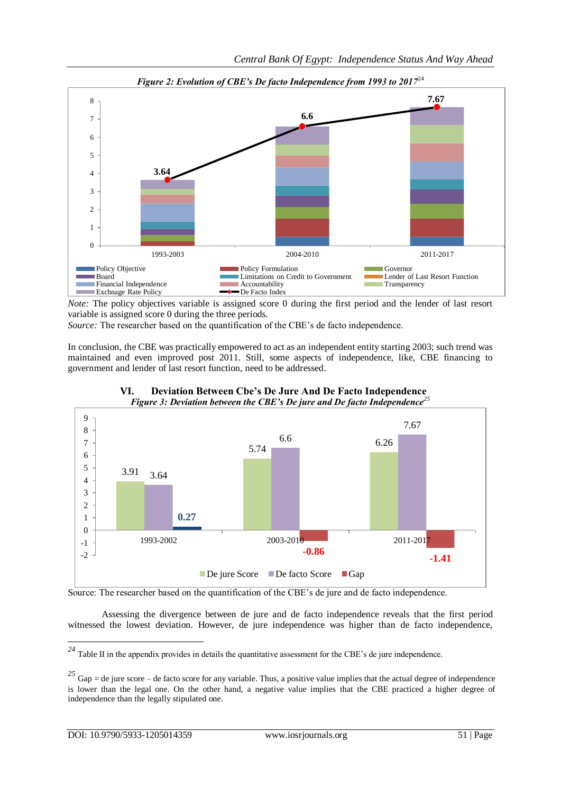

*Figure 2: Evolution of CBE's De facto Independence from 1993 to 2017*<sup>24</sup>

*Note:* The policy objectives variable is assigned score 0 during the first period and the lender of last resort variable is assigned score 0 during the three periods.

*Source:* The researcher based on the quantification of the CBE's de facto independence.

In conclusion, the CBE was practically empowered to act as an independent entity starting 2003; such trend was maintained and even improved post 2011. Still, some aspects of independence, like, CBE financing to government and lender of last resort function, need to be addressed.



**VI. Deviation Between Cbe's De Jure And De Facto Independence**  *Figure 3: Deviation between the CBE's De jure and De facto Independence<sup>25</sup>*

Source: The researcher based on the quantification of the CBE's de jure and de facto independence.

Assessing the divergence between de jure and de facto independence reveals that the first period witnessed the lowest deviation. However, de jure independence was higher than de facto independence,

<sup>&</sup>lt;sup>24</sup> Table II in the appendix provides in details the quantitative assessment for the CBE's de jure independence.

<sup>&</sup>lt;sup>25</sup> Gap = de jure score – de facto score for any variable. Thus, a positive value implies that the actual degree of independence is lower than the legal one. On the other hand, a negative value implies that the CBE practiced a higher degree of independence than the legally stipulated one.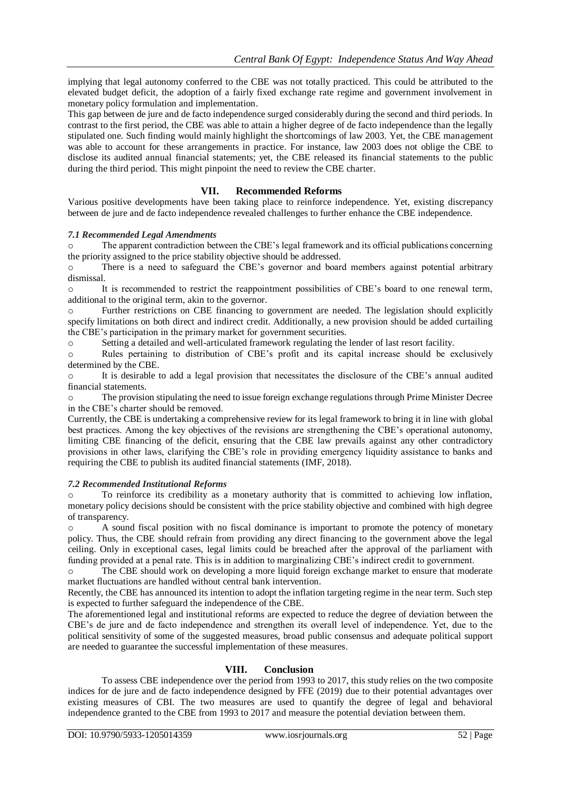implying that legal autonomy conferred to the CBE was not totally practiced. This could be attributed to the elevated budget deficit, the adoption of a fairly fixed exchange rate regime and government involvement in monetary policy formulation and implementation.

This gap between de jure and de facto independence surged considerably during the second and third periods. In contrast to the first period, the CBE was able to attain a higher degree of de facto independence than the legally stipulated one. Such finding would mainly highlight the shortcomings of law 2003. Yet, the CBE management was able to account for these arrangements in practice. For instance, law 2003 does not oblige the CBE to disclose its audited annual financial statements; yet, the CBE released its financial statements to the public during the third period. This might pinpoint the need to review the CBE charter.

#### **VII. Recommended Reforms**

Various positive developments have been taking place to reinforce independence. Yet, existing discrepancy between de jure and de facto independence revealed challenges to further enhance the CBE independence.

#### *7.1 Recommended Legal Amendments*

The apparent contradiction between the CBE's legal framework and its official publications concerning the priority assigned to the price stability objective should be addressed.

There is a need to safeguard the CBE's governor and board members against potential arbitrary dismissal.

o It is recommended to restrict the reappointment possibilities of CBE's board to one renewal term, additional to the original term, akin to the governor.

o Further restrictions on CBE financing to government are needed. The legislation should explicitly specify limitations on both direct and indirect credit. Additionally, a new provision should be added curtailing the CBE's participation in the primary market for government securities.

o Setting a detailed and well-articulated framework regulating the lender of last resort facility.

o Rules pertaining to distribution of CBE's profit and its capital increase should be exclusively determined by the CBE.

o It is desirable to add a legal provision that necessitates the disclosure of the CBE's annual audited financial statements.

o The provision stipulating the need to issue foreign exchange regulations through Prime Minister Decree in the CBE's charter should be removed.

Currently, the CBE is undertaking a comprehensive review for its legal framework to bring it in line with global best practices. Among the key objectives of the revisions are strengthening the CBE's operational autonomy, limiting CBE financing of the deficit, ensuring that the CBE law prevails against any other contradictory provisions in other laws, clarifying the CBE's role in providing emergency liquidity assistance to banks and requiring the CBE to publish its audited financial statements (IMF, 2018).

#### *7.2 Recommended Institutional Reforms*

To reinforce its credibility as a monetary authority that is committed to achieving low inflation, monetary policy decisions should be consistent with the price stability objective and combined with high degree of transparency.

A sound fiscal position with no fiscal dominance is important to promote the potency of monetary policy. Thus, the CBE should refrain from providing any direct financing to the government above the legal ceiling. Only in exceptional cases, legal limits could be breached after the approval of the parliament with funding provided at a penal rate. This is in addition to marginalizing CBE's indirect credit to government.

The CBE should work on developing a more liquid foreign exchange market to ensure that moderate market fluctuations are handled without central bank intervention.

Recently, the CBE has announced its intention to adopt the inflation targeting regime in the near term. Such step is expected to further safeguard the independence of the CBE.

The aforementioned legal and institutional reforms are expected to reduce the degree of deviation between the CBE's de jure and de facto independence and strengthen its overall level of independence. Yet, due to the political sensitivity of some of the suggested measures, broad public consensus and adequate political support are needed to guarantee the successful implementation of these measures.

#### **VIII. Conclusion**

To assess CBE independence over the period from 1993 to 2017, this study relies on the two composite indices for de jure and de facto independence designed by FFE (2019) due to their potential advantages over existing measures of CBI. The two measures are used to quantify the degree of legal and behavioral independence granted to the CBE from 1993 to 2017 and measure the potential deviation between them.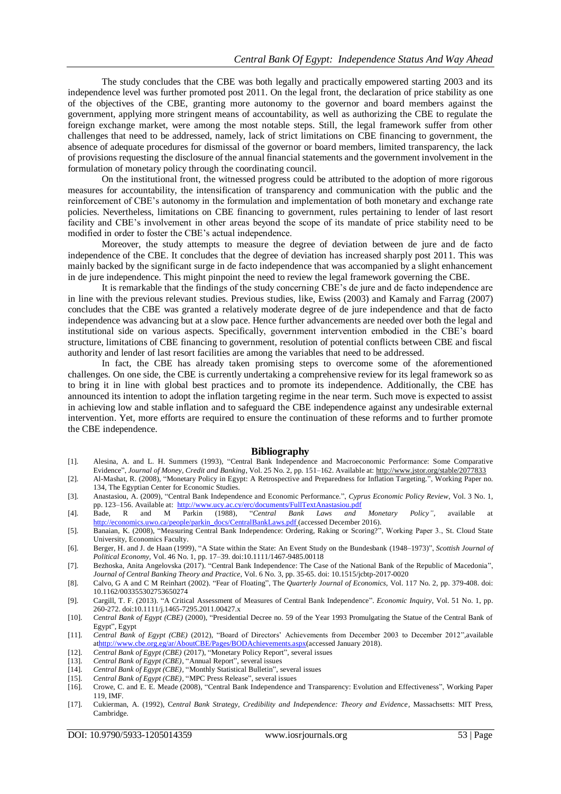The study concludes that the CBE was both legally and practically empowered starting 2003 and its independence level was further promoted post 2011. On the legal front, the declaration of price stability as one of the objectives of the CBE, granting more autonomy to the governor and board members against the government, applying more stringent means of accountability, as well as authorizing the CBE to regulate the foreign exchange market, were among the most notable steps. Still, the legal framework suffer from other challenges that need to be addressed, namely, lack of strict limitations on CBE financing to government, the absence of adequate procedures for dismissal of the governor or board members, limited transparency, the lack of provisions requesting the disclosure of the annual financial statements and the government involvement in the formulation of monetary policy through the coordinating council.

On the institutional front, the witnessed progress could be attributed to the adoption of more rigorous measures for accountability, the intensification of transparency and communication with the public and the reinforcement of CBE's autonomy in the formulation and implementation of both monetary and exchange rate policies. Nevertheless, limitations on CBE financing to government, rules pertaining to lender of last resort facility and CBE's involvement in other areas beyond the scope of its mandate of price stability need to be modified in order to foster the CBE's actual independence.

Moreover, the study attempts to measure the degree of deviation between de jure and de facto independence of the CBE. It concludes that the degree of deviation has increased sharply post 2011. This was mainly backed by the significant surge in de facto independence that was accompanied by a slight enhancement in de jure independence. This might pinpoint the need to review the legal framework governing the CBE.

It is remarkable that the findings of the study concerning CBE's de jure and de facto independence are in line with the previous relevant studies. Previous studies, like, Ewiss (2003) and Kamaly and Farrag (2007) concludes that the CBE was granted a relatively moderate degree of de jure independence and that de facto independence was advancing but at a slow pace. Hence further advancements are needed over both the legal and institutional side on various aspects. Specifically, government intervention embodied in the CBE's board structure, limitations of CBE financing to government, resolution of potential conflicts between CBE and fiscal authority and lender of last resort facilities are among the variables that need to be addressed.

In fact, the CBE has already taken promising steps to overcome some of the aforementioned challenges. On one side, the CBE is currently undertaking a comprehensive review for its legal framework so as to bring it in line with global best practices and to promote its independence. Additionally, the CBE has announced its intention to adopt the inflation targeting regime in the near term. Such move is expected to assist in achieving low and stable inflation and to safeguard the CBE independence against any undesirable external intervention. Yet, more efforts are required to ensure the continuation of these reforms and to further promote the CBE independence.

#### **Bibliography**

- [1]. Alesina, A. and L. H. Summers (1993), "Central Bank Independence and Macroeconomic Performance: Some Comparative Evidence", *Journal of Money, Credit and Banking*, Vol. 25 No. 2, pp. 151–162. Available at[: http://www.jstor.org/stable/2077833](http://www.jstor.org/stable/2077833)
- [2]. Al-Mashat, R. (2008), "Monetary Policy in Egypt: A Retrospective and Preparedness for Inflation Targeting.", Working Paper no. 134, The Egyptian Center for Economic Studies.
- [3]. Anastasiou, A. (2009), "Central Bank Independence and Economic Performance.", *Cyprus Economic Policy Review*, Vol. 3 No. 1, pp. 123-156. Available at: [http://www.ucy.ac.cy/erc/documents/FullTextAnastasiou.pdf](https://econpapers.repec.org/scripts/redir.pf?u=http%3A%2F%2Fwww.ucy.ac.cy%2Ferc%2Fdocuments%2FFullTextAnastasiou.pdf;h=repec:erc:cypepr:v:3:y:2009:i:1:p:123-156)
- [4]. Bade, R and M Parkin (1988), "*Central Bank Laws and Monetary Policy"*, available at [http://economics.uwo.ca/people/parkin\\_docs/CentralBankLaws.pdf](http://economics.uwo.ca/people/parkin_docs/CentralBankLaws.pdf) (accessed December 2016).
- [5]. Banaian, K. (2008), "Measuring Central Bank Independence: Ordering, Raking or Scoring?", Working Paper 3., St. Cloud State University, Economics Faculty.
- [6]. Berger, H. and J. de Haan (1999), "A State within the State: An Event Study on the Bundesbank (1948–1973)", *Scottish Journal of Political Economy,* Vol. 46 No. 1, pp. 17–39*.* doi:10.1111/1467-9485.00118
- [7]. Bezhoska, Anita Angelovska (2017). "Central Bank Independence: The Case of the National Bank of the Republic of Macedonia", *Journal of Central Banking Theory and Practice*, Vol. 6 No. 3, pp. 35-65. doi: 10.1515/jcbtp-2017-0020
- [8]. Calvo, G A and C M Reinhart (2002). "Fear of Floating", The *Quarterly Journal of Economics,* Vol. 117 No. 2, pp. 379-408. doi: [10.1162/003355302753650274](https://doi.org/10.1162/003355302753650274)
- [9]. Cargill, T. F. (2013). "A Critical Assessment of Measures of Central Bank Independence". *Economic Inquiry,* Vol. 51 No. 1, pp. 260-272. doi:10.1111/j.1465-7295.2011.00427.x
- [10]. *Central Bank of Egypt (CBE)* (2000), "Presidential Decree no. 59 of the Year 1993 Promulgating the Statue of the Central Bank of Egypt", Egypt
- [11]. *Central Bank of Egypt (CBE)* (2012), "Board of Directors' Achievements from December 2003 to December 2012",available a[thttp://www.cbe.org.eg/ar/AboutCBE/Pages/BODAchievements.aspx\(](http://www.cbe.org.eg/ar/AboutCBE/Pages/BODAchievements.aspx)accessed January 2018).
- [12]. *Central Bank of Egypt (CBE)* (2017), "Monetary Policy Report", several issues
- [13]. *Central Bank of Egypt (CBE)*, "Annual Report", several issues
- [14]. *Central Bank of Egypt (CBE),* "Monthly Statistical Bulletin", several issues
- [15]. *Central Bank of Egypt (CBE),* "MPC Press Release", several issues
- [16]. Crowe, C. and E. E. Meade (2008), "Central Bank Independence and Transparency: Evolution and Effectiveness", Working Paper 119, IMF.
- [17]. Cukierman, A. (1992), C*entral Bank Strategy, Credibility and Independence: Theory and Evidence,* Massachsetts: MIT Press, Cambridge.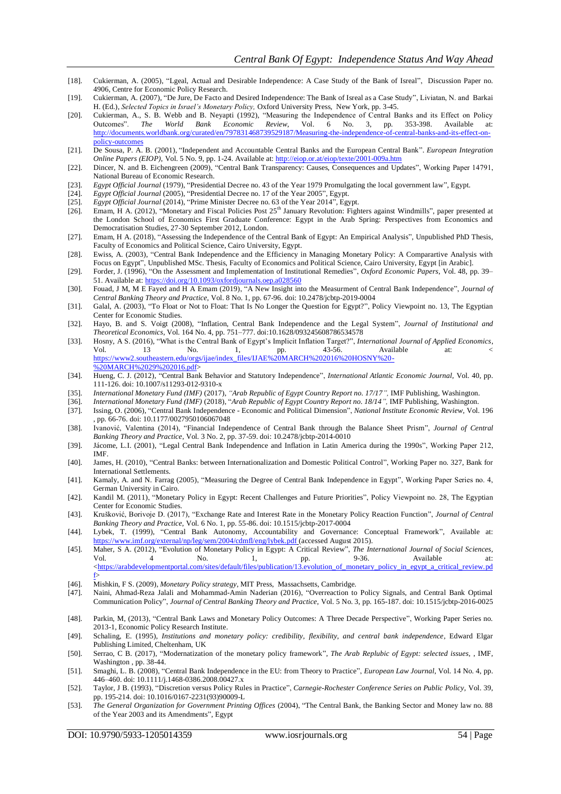- [18]. Cukierman, A. (2005), "Lgeal, Actual and Desirable Independence: A Case Study of the Bank of Isreal", Discussion Paper no. 4906, Centre for Economic Policy Research.
- [19]. Cukierman, A. (2007), "De Jure, De Facto and Desired Independence: The Bank of Isreal as a Case Study", Liviatan, N. and Barkai H. (Ed.), *Selected Topics in Israel's Monetary Policy,* Oxford University Press, New York, pp. 3-45.
- [20]. Cukierman, A., S. B. Webb and B. Neyapti (1992), "Measuring the Independence of Central Banks and its Effect on Policy Outcomes". *The World Bank Economic Review*, Vol. 6 No. 3, pp. 353-398. Available at: [http://documents.worldbank.org/curated/en/797831468739529187/Measuring-the-independence-of-central-banks-and-its-effect-on](http://documents.worldbank.org/curated/en/797831468739529187/Measuring-the-independence-of-central-banks-and-its-effect-on-policy-outcomes)policy-outcome
- [21]. De Sousa, P. A. B. (2001), "Independent and Accountable Central Banks and the European Central Bank". *European Integration Online Papers (EIOP),* Vol. 5 No. 9, pp. 1-24. Available at[: http://eiop.or.at/eiop/texte/2001-009a.htm](http://eiop.or.at/eiop/texte/2001-009a.htm)
- [22]. Dincer, N. and B. Eichengreen (2009), "Central Bank Transparency: Causes, Consequences and Updates", Working Paper 14791, National Bureau of Economic Research.
- [23]. *Egypt Official Journal* (1979), "Presidential Decree no. 43 of the Year 1979 Promulgating the local government law", Egypt.
- [24]. *Egypt Official Journal* (2005), "Presidential Decree no. 17 of the Year 2005", Egypt.
- [25]. *Egypt Official Journal* (2014), "Prime Minister Decree no. 63 of the Year 2014"*,* Egypt.
- [26]. Emam, H A. (2012), "Monetary and Fiscal Policies Post  $25<sup>th</sup>$  January Revolution: Fighters against Windmills", paper presented at the London School of Economics First Graduate Conference: Egypt in the Arab Spring: Perspectives from Economics and Democratisation Studies, 27-30 September 2012, London.
- [27]. Emam, H A. (2018), "Assessing the Independence of the Central Bank of Egypt: An Empirical Analysis", Unpublished PhD Thesis, Faculty of Economics and Political Science, Cairo University, Egypt.
- [28]. Ewiss, A. (2003), "Central Bank Independence and the Efficiency in Managing Monetary Policy: A Comparartive Analysis with Focus on Egypt", Unpublished MSc. Thesis, Faculty of Economics and Political Science, Cairo University, Egypt [in Arabic].
- [29]. Forder, J. (1996), "On the Assessment and Implementation of Institutional Remedies", *Oxford Economic Papers*, Vol. 48, pp. 39– 51. Available at:<https://doi.org/10.1093/oxfordjournals.oep.a028560>
- [30]. Fouad, J M, M E Fayed and H A Emam (2019), "A New Insight into the Measurment of Central Bank Independence", *Journal of Central Banking Theory and Practice,* Vol. 8 No. 1, pp. 67-96. doi: 10.2478/jcbtp-2019-0004
- [31]. Galal, A. (2003), "To Float or Not to Float: That Is No Longer the Question for Egypt?", Policy Viewpoint no. 13, The Egyptian Center for Economic Studies.
- [32]. Hayo, B. and S. Voigt (2008), "Inflation, Central Bank Independence and the Legal System", *Journal of Institutional and Theoretical Economics*, Vol. 164 No. 4, pp. 751–777. doi[:10.1628/093245608786534578](https://doi.org/10.1628/093245608786534578)
- [33]. Hosny, A S. (2016), "What is the Central Bank of Egypt's Implicit Inflation Target?", *International Journal of Applied Economics*, Vol. 13 No. 1, pp. 43-56. Available at: < [https://www2.southeastern.edu/orgs/ijae/index\\_files/IJAE%20MARCH%202016%20HOSNY%20-](https://www2.southeastern.edu/orgs/ijae/index_files/IJAE%20MARCH%202016%20HOSNY%20-%20MARCH%2029%202016.pdf) [%20MARCH%2029%202016.pdf>](https://www2.southeastern.edu/orgs/ijae/index_files/IJAE%20MARCH%202016%20HOSNY%20-%20MARCH%2029%202016.pdf)
- [34]. Hueng, C. J. (2012), "Central Bank Behavior and Statutory Independence", *International Atlantic Economic Journal,* Vol. 40, pp. 111-126. doi: 10.1007/s11293-012-9310-x
- [35]. *International Monetary Fund (IMF)* (2017), *"Arab Republic of Egypt Country Report no. 17/17",* IMF Publishing, Washington.
- [36]. *International Monetary Fund (IMF)* (2018), "*Arab Republic of Egypt Country Report no. 18/14",* IMF Publishing, Washington.
- [37]. Issing, O. (2006), "Central Bank Independence Economic and Political Dimension", *National Institute Economic Review,* Vol. 196 , pp. 66-76. doi[: 10.1177/0027950106067048](https://doi.org/10.1177/0027950106067048)
- [38]. Ivanović, Valentina (2014), "Financial Independence of Central Bank through the Balance Sheet Prism", *Journal of Central Banking Theory and Practice*, Vol. 3 No. 2, pp. 37-59. doi: 10.2478/jcbtp-2014-0010
- [39]. Jácome, L.I. (2001), "Legal Central Bank Independence and Inflation in Latin America during the 1990s", Working Paper 212, IMF.
- [40]. James, H. (2010), "Central Banks: between Internationalization and Domestic Political Control", Working Paper no. 327, Bank for International Settlements.
- [41]. Kamaly, A. and N. Farrag (2005), "Measuring the Degree of Central Bank Independence in Egypt", Working Paper Series no. 4, German University in Cairo.
- [42]. Kandil M. (2011), "Monetary Policy in Egypt: Recent Challenges and Future Priorities", Policy Viewpoint no. 28, The Egyptian Center for Economic Studies.
- [43]. Krušković, Borivoje D. (2017), "Exchange Rate and Interest Rate in the Monetary Policy Reaction Function", *Journal of Central Banking Theory and Practice,* Vol. 6 No. 1, pp. 55-86. doi: 10.1515/jcbtp-2017-0004
- [44]. Lybek, T. (1999), "Central Bank Autonomy, Accountability and Governance: Conceptual Framework", Available at: <https://www.imf.org/external/np/leg/sem/2004/cdmfl/eng/lybek.pdf> (accessed August 2015).
- [45]. Maher, S A. (2012), "Evolution of Monetary Policy in Egypt: A Critical Review", *The International Journal of Social Sciences,*  Vol. 4 No. 1, pp. 9-36. Available at: [<https://arabdevelopmentportal.com/sites/default/files/publication/13.evolution\\_of\\_monetary\\_policy\\_in\\_egypt\\_a\\_critical\\_review.pd](https://arabdevelopmentportal.com/sites/default/files/publication/13.evolution_of_monetary_policy_in_egypt_a_critical_review.pdf) [f>](https://arabdevelopmentportal.com/sites/default/files/publication/13.evolution_of_monetary_policy_in_egypt_a_critical_review.pdf)
- [46]. Mishkin, F S. (2009), *Monetary Policy strategy*, MIT Press, Massachsetts, Cambridge.
- [47]. Naini, Ahmad-Reza Jalali and Mohammad-Amin Naderian (2016), "Overreaction to Policy Signals, and Central Bank Optimal Communication Policy", *Journal of Central Banking Theory and Practice,* Vol. 5 No. 3, pp. 165-187. doi: 10.1515/jcbtp-2016-0025
- [48]. Parkin, M, (2013), "Central Bank Laws and Monetary Policy Outcomes: A Three Decade Perspective", Working Paper Series no. 2013-1, Economic Policy Research Institute.
- [49]. Schaling, E. (1995), *Institutions and monetary policy: credibility, flexibility, and central bank independence,* Edward Elgar Publishing Limited, Cheltenham, UK
- [50]. Serrao, C B. (2017), "Modernatization of the monetary policy framework", *The Arab Replubic of Egypt: selected issues,* , IMF, Washington , pp. 38-44.
- [51]. Smaghi, L. B. (2008), "Central Bank Independence in the EU: from Theory to Practice", *European Law Journal*, Vol. 14 No. 4, pp. 446–460. doi: 10.1111/j.1468-0386.2008.00427.x
- [52]. Taylor, J B. (1993), "Discretion versus Policy Rules in Practice", *Carnegie-Rochester Conference Series on Public Policy,* Vol. 39, pp. 195-214. doi[: 10.1016/0167-2231\(93\)90009-L](https://doi.org/10.1016/0167-2231(93)90009-L)
- [53]. *The General Organization for Government Printing Offices* (2004), "The Central Bank, the Banking Sector and Money law no. 88 of the Year 2003 and its Amendments"*,* Egypt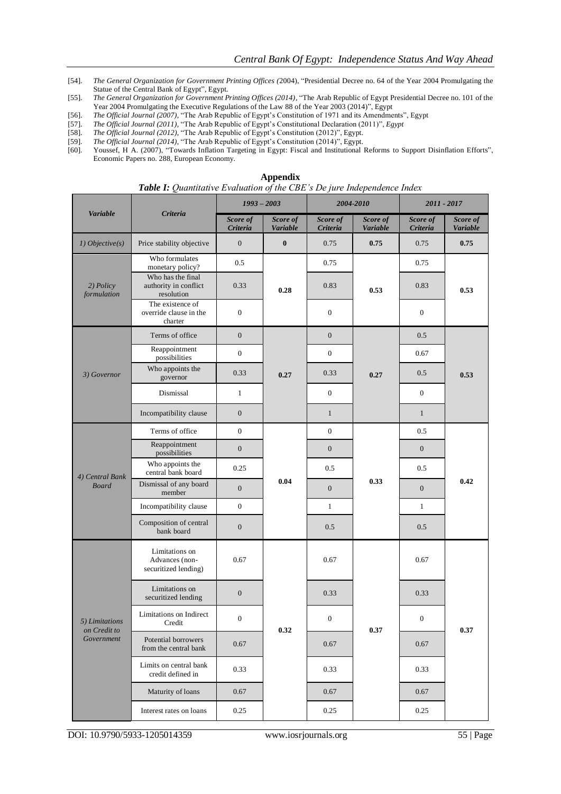- [54]. *The General Organization for Government Printing Offices (*2004), "Presidential Decree no. 64 of the Year 2004 Promulgating the Statue of the Central Bank of Egypt"*,* Egypt.
- [55]. *The General Organization for Government Printing Offices (2014),* "The Arab Republic of Egypt Presidential Decree no. 101 of the Year 2004 Promulgating the Executive Regulations of the Law 88 of the Year 2003 (2014)", Egypt
- [56]. *The Official Journal (2007),* "The Arab Republic of Egypt's Constitution of 1971 and its Amendments", Egypt
- [57]. *The Official Journal (2011),* "The Arab Republic of Egypt's Constitutional Declaration (2011)", *Egypt*
- [58]. *The Official Journal (2012),* "The Arab Republic of Egypt's Constitution (2012)", Egypt.
- [59]. *The Official Journal (2014),* "The Arab Republic of Egypt's Constitution (2014)", Egypt.
- [60]. Youssef, H A. (2007), "Towards Inflation Targeting in Egypt: Fiscal and Institutional Reforms to Support Disinflation Efforts", Economic Papers no. 288, European Economy.

|                                |                                                          | $1993 - 2003$        |                             | <b>Table 1.</b> Quantitutive Evaluation of the CDE 3 De fure independence index<br>2004-2010 |                             | 2011 - 2017          |                             |
|--------------------------------|----------------------------------------------------------|----------------------|-----------------------------|----------------------------------------------------------------------------------------------|-----------------------------|----------------------|-----------------------------|
| <b>Variable</b>                | <b>Criteria</b>                                          | Score of<br>Criteria | Score of<br><b>Variable</b> | Score of<br>Criteria                                                                         | Score of<br><b>Variable</b> | Score of<br>Criteria | Score of<br><b>Variable</b> |
| 1) Objective(s)                | Price stability objective                                | $\boldsymbol{0}$     | $\bf{0}$                    | 0.75                                                                                         | 0.75                        | 0.75                 | 0.75                        |
| 2) Policy<br>formulation       | Who formulates<br>monetary policy?                       | 0.5                  |                             | 0.75                                                                                         |                             | 0.75                 |                             |
|                                | Who has the final<br>authority in conflict<br>resolution | 0.33                 | 0.28                        | 0.83                                                                                         | 0.53                        | 0.83                 | 0.53                        |
|                                | The existence of<br>override clause in the<br>charter    | $\mathbf{0}$         |                             | $\boldsymbol{0}$                                                                             |                             | $\boldsymbol{0}$     |                             |
|                                | Terms of office                                          | $\mathbf{0}$         |                             | $\boldsymbol{0}$                                                                             |                             | 0.5                  |                             |
|                                | Reappointment<br>possibilities                           | $\mathbf{0}$         |                             | $\mathbf{0}$                                                                                 |                             | 0.67                 |                             |
| 3) Governor                    | Who appoints the<br>governor                             | 0.33                 | 0.27                        | 0.33                                                                                         | 0.27                        | 0.5                  | 0.53                        |
|                                | Dismissal                                                | $\mathbf{1}$         |                             | $\mathbf{0}$                                                                                 |                             | $\boldsymbol{0}$     |                             |
|                                | Incompatibility clause                                   | $\mathbf{0}$         |                             | $\mathbf{1}$                                                                                 |                             | $\mathbf{1}$         |                             |
|                                | Terms of office                                          | $\boldsymbol{0}$     | 0.04                        | $\mathbf{0}$                                                                                 | 0.33                        | 0.5                  | 0.42                        |
|                                | Reappointment<br>possibilities                           | $\mathbf{0}$         |                             | $\boldsymbol{0}$                                                                             |                             | $\boldsymbol{0}$     |                             |
| 4) Central Bank                | Who appoints the<br>central bank board                   | 0.25                 |                             | 0.5                                                                                          |                             | 0.5                  |                             |
| <b>Board</b>                   | Dismissal of any board<br>member                         | $\boldsymbol{0}$     |                             | $\boldsymbol{0}$                                                                             |                             | $\mathbf{0}$         |                             |
|                                | Incompatibility clause                                   | $\mathbf{0}$         |                             | $\mathbf{1}$                                                                                 |                             | $\mathbf{1}$         |                             |
|                                | Composition of central<br>bank board                     | $\boldsymbol{0}$     |                             | 0.5                                                                                          |                             | 0.5                  |                             |
|                                | Limitations on<br>Advances (non-<br>securitized lending) | 0.67                 |                             | 0.67                                                                                         |                             | 0.67                 | 0.37                        |
|                                | Limitations on<br>securitized lending                    | $\mathbf{0}$         |                             | 0.33                                                                                         |                             | 0.33                 |                             |
| 5) Limitations<br>on Credit to | Limitations on Indirect<br>Credit                        | $\boldsymbol{0}$     | 0.32                        | $\boldsymbol{0}$                                                                             | 0.37                        | $\mathbf{0}$         |                             |
| Government                     | Potential borrowers<br>from the central bank             | 0.67                 |                             | 0.67                                                                                         |                             | 0.67                 |                             |
|                                | Limits on central bank<br>credit defined in              | 0.33                 |                             | 0.33                                                                                         |                             | 0.33                 |                             |
|                                | Maturity of loans                                        | 0.67                 |                             | 0.67                                                                                         |                             | 0.67                 |                             |
|                                | Interest rates on loans                                  | 0.25                 |                             | 0.25                                                                                         |                             | 0.25                 |                             |

**Appendix**

*Table I: Quantitative Evaluation of the CBE's De jure Independence Index*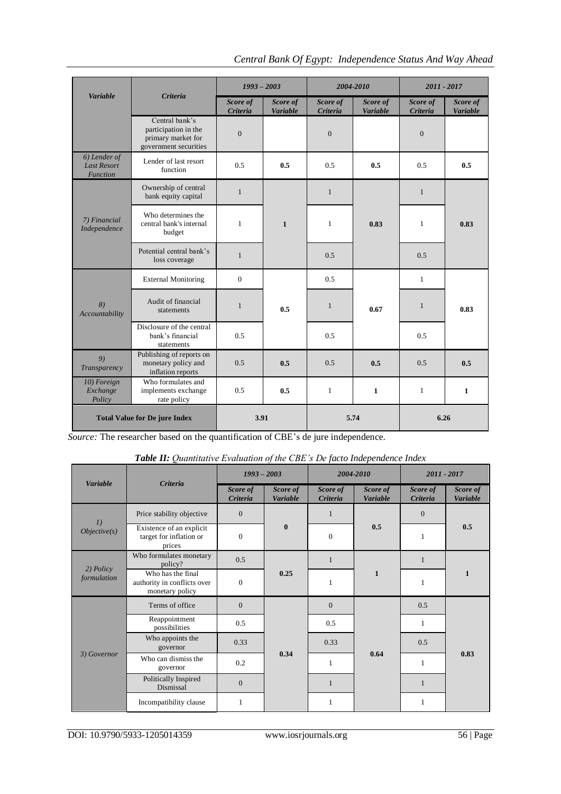|                                                       |                                                                                       | $1993 - 2003$                   |                             | 2004-2010            |                             | 2011 - 2017          |                             |  |
|-------------------------------------------------------|---------------------------------------------------------------------------------------|---------------------------------|-----------------------------|----------------------|-----------------------------|----------------------|-----------------------------|--|
| <b>Variable</b>                                       | <b>Criteria</b>                                                                       | Score of<br>Criteria            | Score of<br><b>Variable</b> | Score of<br>Criteria | Score of<br><b>Variable</b> | Score of<br>Criteria | Score of<br><b>Variable</b> |  |
|                                                       | Central bank's<br>participation in the<br>primary market for<br>government securities | $\boldsymbol{0}$                |                             | $\mathbf{0}$         |                             | $\theta$             |                             |  |
| 6) Lender of<br><b>Last Resort</b><br><b>Function</b> | Lender of last resort<br>0.5<br>0.5<br>0.5<br>0.5<br>function                         |                                 | 0.5                         | 0.5                  |                             |                      |                             |  |
|                                                       | Ownership of central<br>bank equity capital                                           | $\mathbf{1}$                    |                             | $\mathbf{1}$         |                             | $\mathbf{1}$         |                             |  |
| 7) Financial<br>Independence                          | Who determines the<br>central bank's internal<br>budget                               | $\mathbf{1}$                    | $\mathbf{1}$                | $\mathbf{1}$         | 0.83                        | $\mathbf{1}$         | 0.83                        |  |
|                                                       | Potential central bank's<br>loss coverage                                             | $\mathbf{1}$                    |                             | 0.5                  |                             | 0.5                  |                             |  |
|                                                       | <b>External Monitoring</b>                                                            | $\mathbf{0}$                    |                             | 0.5                  |                             | 1                    |                             |  |
| 8)<br>Accountability                                  | Audit of financial<br>statements                                                      | $\mathbf{1}$                    | 0.5                         | $\mathbf{1}$         | 0.67                        | $\mathbf{1}$         | 0.83                        |  |
|                                                       | Disclosure of the central<br>bank's financial<br>statements                           | 0.5                             |                             | 0.5                  |                             | 0.5                  |                             |  |
| 9)<br>Transparency                                    | Publishing of reports on<br>monetary policy and<br>inflation reports                  | 0.5                             | 0.5                         | 0.5                  | 0.5                         |                      | 0.5                         |  |
| 10) Foreign<br>Exchange<br>Policy                     | Who formulates and<br>implements exchange<br>rate policy                              | 0.5<br>0.5<br>1<br>$\mathbf{1}$ |                             |                      | 1                           | $\mathbf{1}$         |                             |  |
| <b>Total Value for De jure Index</b>                  |                                                                                       | 3.91                            |                             |                      | 5.74                        | 6.26                 |                             |  |

*Source:* The researcher based on the quantification of CBE's de jure independence.

| <b>Table II:</b> Quantitative Evaluation of the CBE's De facto Independence Index |                                                                     |                      |                             |                      |                             |                      |                             |  |
|-----------------------------------------------------------------------------------|---------------------------------------------------------------------|----------------------|-----------------------------|----------------------|-----------------------------|----------------------|-----------------------------|--|
| <b>Variable</b>                                                                   | <b>Criteria</b>                                                     | $1993 - 2003$        |                             | 2004-2010            |                             | 2011 - 2017          |                             |  |
|                                                                                   |                                                                     | Score of<br>Criteria | Score of<br><b>Variable</b> | Score of<br>Criteria | Score of<br><b>Variable</b> | Score of<br>Criteria | Score of<br><b>Variable</b> |  |
| 1)                                                                                | Price stability objective                                           | $\Omega$             |                             | $\mathbf{1}$         |                             | $\Omega$             | 0.5                         |  |
| Objective(s)                                                                      | Existence of an explicit<br>target for inflation or<br>prices       | $\theta$             | $\bf{0}$                    | $\boldsymbol{0}$     | 0.5                         | $\mathbf{1}$         |                             |  |
| $2)$ Policy<br>formulation                                                        | Who formulates monetary<br>policy?                                  | 0.5                  |                             | $\mathbf{1}$         | $\mathbf{1}$                | $\mathbf{1}$         | $\mathbf{1}$                |  |
|                                                                                   | Who has the final<br>authority in conflicts over<br>monetary policy | $\theta$             | 0.25                        | 1                    |                             | $\mathbf{1}$         |                             |  |
|                                                                                   | Terms of office                                                     | $\Omega$             |                             | $\Omega$             | 0.64                        | 0.5                  | 0.83                        |  |
|                                                                                   | Reappointment<br>possibilities                                      | 0.5                  |                             | 0.5                  |                             | $\mathbf{1}$         |                             |  |
| 3) Governor                                                                       | Who appoints the<br>governor                                        | 0.33                 |                             | 0.33                 |                             | 0.5                  |                             |  |
|                                                                                   | Who can dismiss the<br>governor                                     | 0.2                  | 0.34                        | $\mathbf{1}$         |                             | $\mathbf{1}$         |                             |  |
|                                                                                   | Politically Inspired<br>Dismissal                                   | $\mathbf{0}$         |                             | $\mathbf{1}$         |                             | $\mathbf{1}$         |                             |  |
|                                                                                   | Incompatibility clause                                              | $\mathbf{1}$         |                             | $\mathbf{1}$         |                             | 1                    |                             |  |

|  | Table II: Quantitative Evaluation of the CBE's De facto Independence Index |  |  |  |  |
|--|----------------------------------------------------------------------------|--|--|--|--|
|  |                                                                            |  |  |  |  |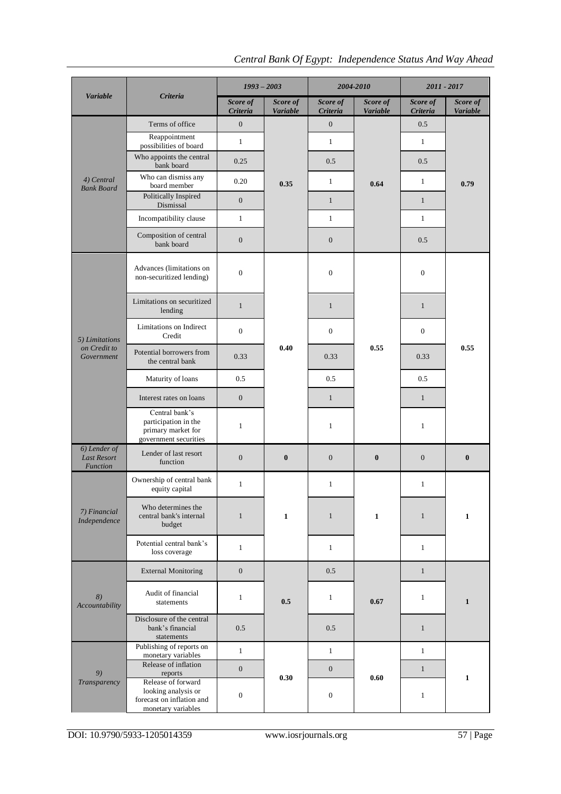# *Central Bank Of Egypt: Independence Status And Way Ahead*

|                                                       |                                                                                              | $1993 - 2003$        |                             | 2004-2010            |                             | 2011 - 2017          |                      |  |
|-------------------------------------------------------|----------------------------------------------------------------------------------------------|----------------------|-----------------------------|----------------------|-----------------------------|----------------------|----------------------|--|
| <b>Variable</b>                                       | <b>Criteria</b>                                                                              | Score of<br>Criteria | Score of<br><b>Variable</b> | Score of<br>Criteria | Score of<br><b>Variable</b> | Score of<br>Criteria | Score of<br>Variable |  |
|                                                       | Terms of office                                                                              | $\overline{0}$       |                             | $\overline{0}$       |                             | 0.5                  |                      |  |
|                                                       | Reappointment<br>possibilities of board                                                      | $\mathbf{1}$         |                             | $\mathbf{1}$         |                             | $\mathbf{1}$         |                      |  |
|                                                       | Who appoints the central<br>bank board                                                       | 0.25                 |                             | 0.5                  |                             | 0.5                  |                      |  |
| 4) Central<br><b>Bank Board</b>                       | Who can dismiss any<br>board member                                                          | 0.20                 | 0.35                        | $\mathbf{1}$         | 0.64                        | $\mathbf{1}$         | 0.79                 |  |
|                                                       | Politically Inspired<br>Dismissal                                                            | $\mathbf{0}$         |                             | $\mathbf{1}$         |                             | $\mathbf{1}$         |                      |  |
|                                                       | Incompatibility clause                                                                       | $\mathbf{1}$         |                             | $\mathbf{1}$         |                             | $\mathbf{1}$         |                      |  |
|                                                       | Composition of central<br>bank board                                                         | $\mathbf{0}$         |                             | $\mathbf{0}$         |                             | 0.5                  |                      |  |
|                                                       | Advances (limitations on<br>non-securitized lending)                                         | $\boldsymbol{0}$     |                             | $\mathbf{0}$         |                             | $\mathbf{0}$         | 0.55                 |  |
|                                                       | Limitations on securitized<br>lending                                                        | $\mathbf{1}$         |                             | $\mathbf{1}$         |                             | $\mathbf{1}$         |                      |  |
| 5) Limitations                                        | Limitations on Indirect<br>Credit                                                            | $\mathbf{0}$         |                             | $\mathbf{0}$         | 0.55                        | $\mathbf{0}$         |                      |  |
| on Credit to<br>Government                            | Potential borrowers from<br>the central bank                                                 | 0.33                 | 0.40                        | 0.33                 |                             | 0.33                 |                      |  |
|                                                       | Maturity of loans                                                                            | 0.5                  |                             | 0.5                  |                             | 0.5                  |                      |  |
|                                                       | Interest rates on loans                                                                      | $\overline{0}$       |                             | $\mathbf{1}$         |                             | $\mathbf{1}$         |                      |  |
|                                                       | Central bank's<br>participation in the<br>primary market for<br>government securities        | $\mathbf{1}$         |                             | $\mathbf{1}$         |                             | $\mathbf{1}$         |                      |  |
| 6) Lender of<br><b>Last Resort</b><br><b>Function</b> | Lender of last resort<br>function                                                            | $\boldsymbol{0}$     | $\bf{0}$                    | $\mathbf{0}$         | $\bf{0}$                    | $\boldsymbol{0}$     | $\bf{0}$             |  |
|                                                       | Ownership of central bank<br>equity capital                                                  | $\mathbf{1}$         |                             | 1                    | $\mathbf{1}$                | $\mathbf{1}$         | $\mathbf{1}$         |  |
| 7) Financial<br>Independence                          | Who determines the<br>central bank's internal<br>budget                                      | $\mathbf{1}$         | $\mathbf{1}$                | $\mathbf{1}$         |                             | $\mathbf{1}$         |                      |  |
|                                                       | Potential central bank's<br>loss coverage                                                    | $\mathbf{1}$         |                             | $\mathbf{1}$         |                             | $\mathbf{1}$         |                      |  |
|                                                       | <b>External Monitoring</b>                                                                   | $\mathbf{0}$         |                             | 0.5                  |                             | $\mathbf{1}$         | $\mathbf{1}$         |  |
| 8)<br>Accountability                                  | Audit of financial<br>statements                                                             | $\mathbf{1}$         | 0.5                         | $\mathbf{1}$         | 0.67                        | $\mathbf{1}$         |                      |  |
|                                                       | Disclosure of the central<br>bank's financial<br>statements                                  | 0.5                  |                             | 0.5                  |                             | $\mathbf{1}$         |                      |  |
|                                                       | Publishing of reports on<br>monetary variables                                               | $\mathbf{1}$         |                             | $\mathbf{1}$         |                             | $\mathbf{1}$         |                      |  |
| 9)                                                    | Release of inflation<br>reports                                                              | $\mathbf{0}$         |                             | $\mathbf{0}$         |                             | $\mathbf{1}$         |                      |  |
| Transparency                                          | Release of forward<br>looking analysis or<br>forecast on inflation and<br>monetary variables | $\boldsymbol{0}$     | 0.30                        | $\boldsymbol{0}$     | 0.60                        | $\mathbf{1}$         | $\mathbf{1}$         |  |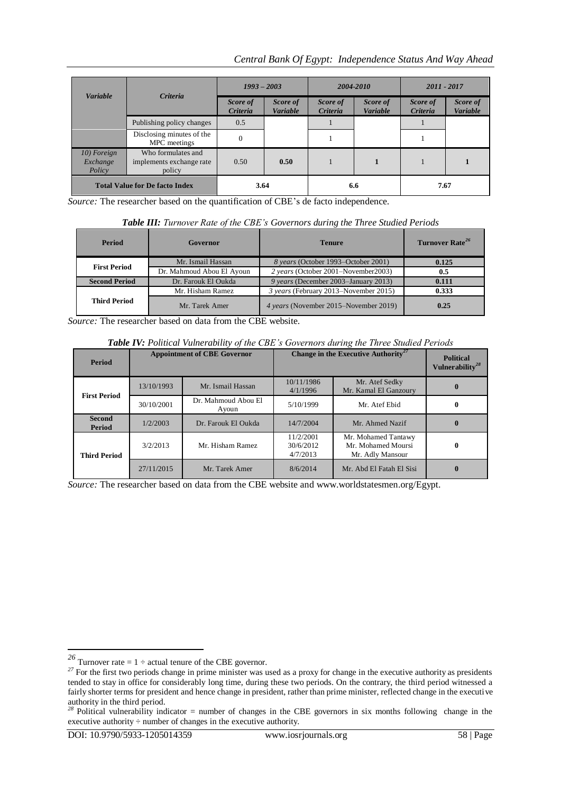## *Central Bank Of Egypt: Independence Status And Way Ahead*

|                                       |                                                          | $1993 - 2003$        |                             | 2004-2010                   |                             | 2011 - 2017          |                      |
|---------------------------------------|----------------------------------------------------------|----------------------|-----------------------------|-----------------------------|-----------------------------|----------------------|----------------------|
| <b>Variable</b>                       | <b>Criteria</b>                                          | Score of<br>Criteria | Score of<br><b>Variable</b> | Score of<br><b>Criteria</b> | Score of<br><b>Variable</b> | Score of<br>Criteria | Score of<br>Variable |
|                                       | Publishing policy changes                                | 0.5                  |                             |                             |                             |                      |                      |
|                                       | Disclosing minutes of the<br>MPC meetings                | $\Omega$             |                             |                             |                             |                      |                      |
| 10) Foreign<br>Exchange<br>Policy     | Who formulates and<br>implements exchange rate<br>policy | 0.50                 | 0.50                        |                             | 1                           |                      |                      |
| <b>Total Value for De facto Index</b> |                                                          | 3.64                 |                             | 6.6                         |                             | 7.67                 |                      |

*Source:* The researcher based on the quantification of CBE's de facto independence.

| <b>Period</b>        | Governor                  | <b>Tenure</b>                         | Turnover Rate <sup>26</sup> |
|----------------------|---------------------------|---------------------------------------|-----------------------------|
| <b>First Period</b>  | Mr. Ismail Hassan         | 8 years (October 1993–October 2001)   | 0.125                       |
|                      | Dr. Mahmoud Abou El Ayoun | 2 years (October 2001–November 2003)  | 0.5                         |
| <b>Second Period</b> | Dr. Farouk El Oukda       | 9 years (December 2003–January 2013)  | 0.111                       |
|                      | Mr. Hisham Ramez          | 3 years (February 2013–November 2015) | 0.333                       |
| <b>Third Period</b>  | Mr. Tarek Amer            | 4 years (November 2015–November 2019) | 0.25                        |

*Source:* The researcher based on data from the CBE website.

*Table IV: Political Vulnerability of the CBE's Governors during the Three Studied Periods*

| <b>Period</b>           | <b>Appointment of CBE Governor</b> |                              | Change in the Executive Authority <sup>27</sup> | <b>Political</b><br>Vulnerability <sup>28</sup>               |  |
|-------------------------|------------------------------------|------------------------------|-------------------------------------------------|---------------------------------------------------------------|--|
| <b>First Period</b>     | 13/10/1993                         | Mr. Ismail Hassan            | 10/11/1986<br>4/1/1996                          | Mr. Atef Sedky<br>Mr. Kamal El Ganzoury                       |  |
|                         | 30/10/2001                         | Dr. Mahmoud Abou El<br>Ayoun | 5/10/1999                                       | Mr. Atef Ebid                                                 |  |
| <b>Second</b><br>Period | 1/2/2003                           | Dr. Farouk El Oukda          | 14/7/2004                                       | Mr. Ahmed Nazif                                               |  |
| <b>Third Period</b>     | 3/2/2013                           | Mr. Hisham Ramez             | 11/2/2001<br>30/6/2012<br>4/7/2013              | Mr. Mohamed Tantawy<br>Mr. Mohamed Moursi<br>Mr. Adly Mansour |  |
|                         | 27/11/2015                         | Mr. Tarek Amer               | 8/6/2014                                        | Mr. Abd El Fatah El Sisi                                      |  |

*Source:* The researcher based on data from the CBE website and www.worldstatesmen.org/Egypt.

<sup>&</sup>lt;sup>26</sup> Turnover rate =  $1 \div$  actual tenure of the CBE governor.

<sup>&</sup>lt;sup>27</sup> For the first two periods change in prime minister was used as a proxy for change in the executive authority as presidents tended to stay in office for considerably long time, during these two periods. On the contrary, the third period witnessed a fairly shorter terms for president and hence change in president, rather than prime minister, reflected change in the executive authority in the third period.

*<sup>28</sup>* Political vulnerability indicator = number of changes in the CBE governors in six months following change in the executive authority  $\div$  number of changes in the executive authority.